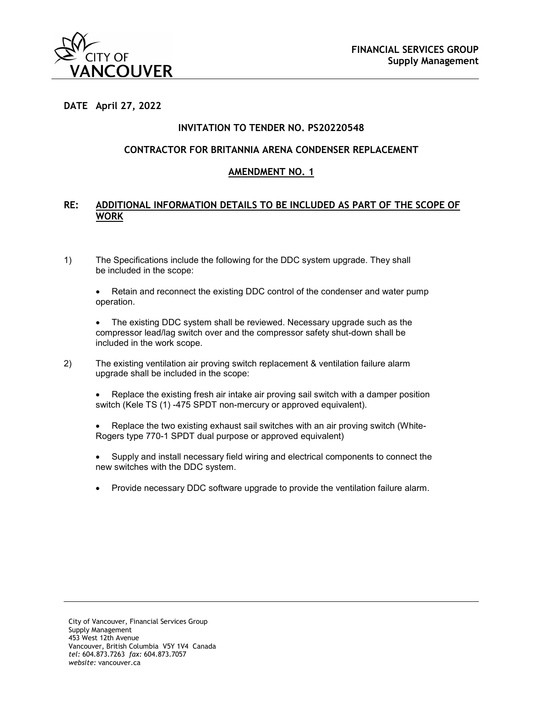

#### **DATE April 27, 2022**

### **INVITATION TO TENDER NO. PS20220548**

#### **CONTRACTOR FOR BRITANNIA ARENA CONDENSER REPLACEMENT**

#### **AMENDMENT NO. 1**

#### **RE: ADDITIONAL INFORMATION DETAILS TO BE INCLUDED AS PART OF THE SCOPE OF WORK**

1) The Specifications include the following for the DDC system upgrade. They shall be included in the scope:

• Retain and reconnect the existing DDC control of the condenser and water pump operation.

The existing DDC system shall be reviewed. Necessary upgrade such as the compressor lead/lag switch over and the compressor safety shut-down shall be included in the work scope.

- 2) The existing ventilation air proving switch replacement & ventilation failure alarm upgrade shall be included in the scope:
	- Replace the existing fresh air intake air proving sail switch with a damper position switch (Kele TS (1) -475 SPDT non-mercury or approved equivalent).
	- Replace the two existing exhaust sail switches with an air proving switch (White-Rogers type 770-1 SPDT dual purpose or approved equivalent)
	- Supply and install necessary field wiring and electrical components to connect the new switches with the DDC system.
	- Provide necessary DDC software upgrade to provide the ventilation failure alarm.